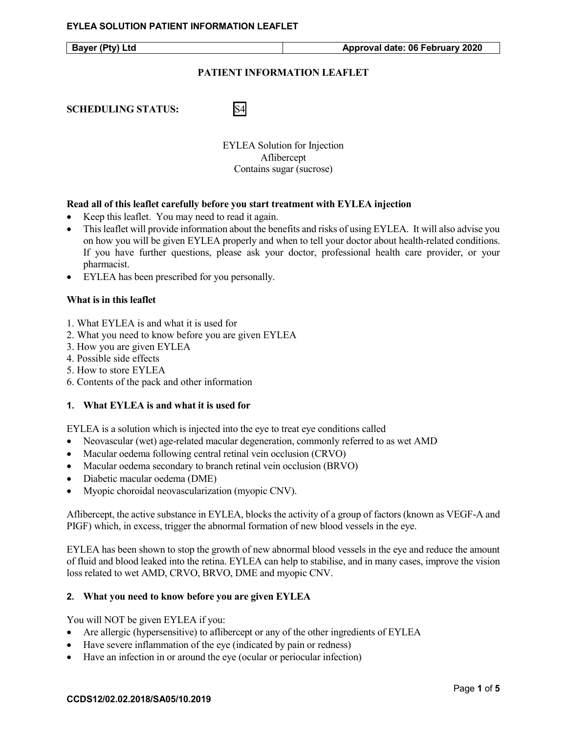## **PATIENT INFORMATION LEAFLET**

**SCHEDULING STATUS:** S4

EYLEA Solution for Injection Aflibercept Contains sugar (sucrose)

## **Read all of this leaflet carefully before you start treatment with EYLEA injection**

- Keep this leaflet. You may need to read it again.
- This leaflet will provide information about the benefits and risks of using EYLEA. It will also advise you on how you will be given EYLEA properly and when to tell your doctor about health-related conditions. If you have further questions, please ask your doctor, professional health care provider, or your pharmacist.
- EYLEA has been prescribed for you personally.

#### **What is in this leaflet**

- 1. What EYLEA is and what it is used for
- 2. What you need to know before you are given EYLEA
- 3. How you are given EYLEA
- 4. Possible side effects
- 5. How to store EYLEA
- 6. Contents of the pack and other information

### **1. What EYLEA is and what it is used for**

EYLEA is a solution which is injected into the eye to treat eye conditions called

- Neovascular (wet) age-related macular degeneration, commonly referred to as wet AMD
- Macular oedema following central retinal vein occlusion (CRVO)
- Macular oedema secondary to branch retinal vein occlusion (BRVO)
- Diabetic macular oedema (DME)
- Myopic choroidal neovascularization (myopic CNV).

Aflibercept, the active substance in EYLEA, blocks the activity of a group of factors (known as VEGF-A and PIGF) which, in excess, trigger the abnormal formation of new blood vessels in the eye.

EYLEA has been shown to stop the growth of new abnormal blood vessels in the eye and reduce the amount of fluid and blood leaked into the retina. EYLEA can help to stabilise, and in many cases, improve the vision loss related to wet AMD, CRVO, BRVO, DME and myopic CNV.

### **2. What you need to know before you are given EYLEA**

You will NOT be given EYLEA if you:

- Are allergic (hypersensitive) to aflibercept or any of the other ingredients of EYLEA
- Have severe inflammation of the eye (indicated by pain or redness)
- Have an infection in or around the eye (ocular or periocular infection)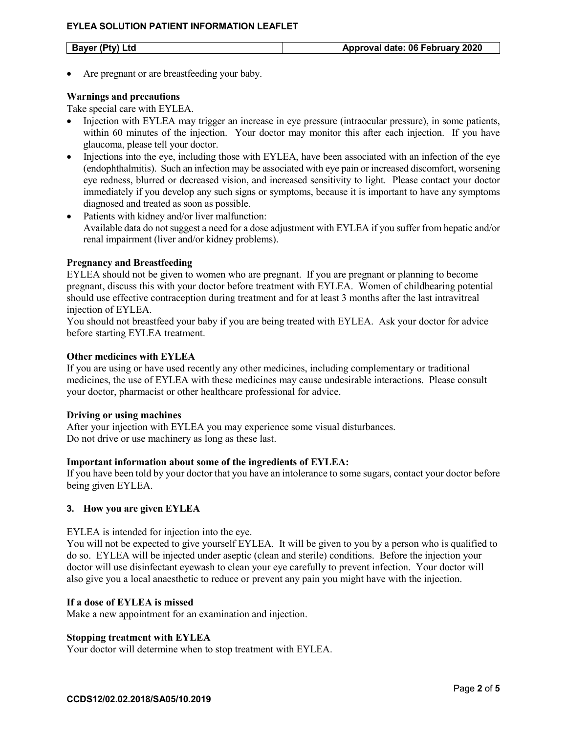Are pregnant or are breastfeeding your baby.

## **Warnings and precautions**

Take special care with EYLEA.

- Injection with EYLEA may trigger an increase in eye pressure (intraocular pressure), in some patients, within 60 minutes of the injection. Your doctor may monitor this after each injection. If you have glaucoma, please tell your doctor.
- Injections into the eye, including those with EYLEA, have been associated with an infection of the eye (endophthalmitis). Such an infection may be associated with eye pain or increased discomfort, worsening eye redness, blurred or decreased vision, and increased sensitivity to light. Please contact your doctor immediately if you develop any such signs or symptoms, because it is important to have any symptoms diagnosed and treated as soon as possible.
- Patients with kidney and/or liver malfunction: Available data do not suggest a need for a dose adjustment with EYLEA if you suffer from hepatic and/or renal impairment (liver and/or kidney problems).

## **Pregnancy and Breastfeeding**

EYLEA should not be given to women who are pregnant. If you are pregnant or planning to become pregnant, discuss this with your doctor before treatment with EYLEA. Women of childbearing potential should use effective contraception during treatment and for at least 3 months after the last intravitreal injection of EYLEA.

You should not breastfeed your baby if you are being treated with EYLEA. Ask your doctor for advice before starting EYLEA treatment.

## **Other medicines with EYLEA**

If you are using or have used recently any other medicines, including complementary or traditional medicines, the use of EYLEA with these medicines may cause undesirable interactions. Please consult your doctor, pharmacist or other healthcare professional for advice.

### **Driving or using machines**

After your injection with EYLEA you may experience some visual disturbances. Do not drive or use machinery as long as these last.

### **Important information about some of the ingredients of EYLEA:**

If you have been told by your doctor that you have an intolerance to some sugars, contact your doctor before being given EYLEA.

# **3. How you are given EYLEA**

EYLEA is intended for injection into the eye.

You will not be expected to give yourself EYLEA. It will be given to you by a person who is qualified to do so. EYLEA will be injected under aseptic (clean and sterile) conditions. Before the injection your doctor will use disinfectant eyewash to clean your eye carefully to prevent infection. Your doctor will also give you a local anaesthetic to reduce or prevent any pain you might have with the injection.

### **If a dose of EYLEA is missed**

Make a new appointment for an examination and injection.

### **Stopping treatment with EYLEA**

Your doctor will determine when to stop treatment with EYLEA.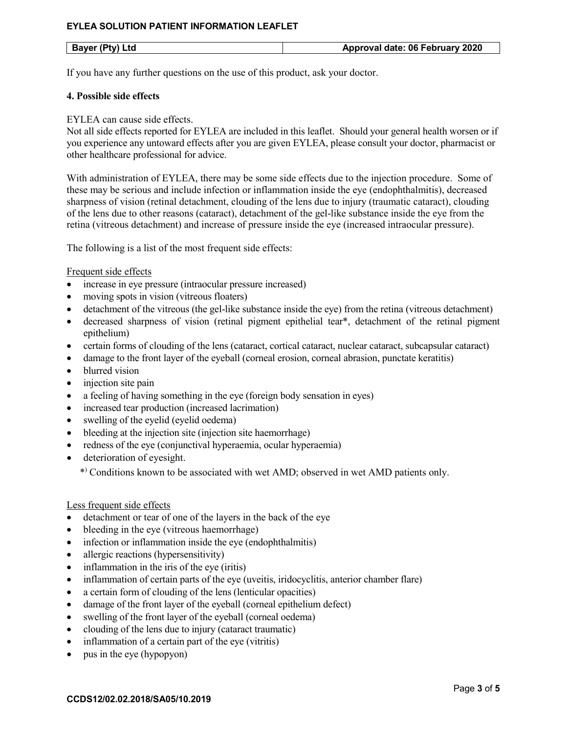## **EYLEA SOLUTION PATIENT INFORMATION LEAFLET**

If you have any further questions on the use of this product, ask your doctor.

## **4. Possible side effects**

## EYLEA can cause side effects.

Not all side effects reported for EYLEA are included in this leaflet. Should your general health worsen or if you experience any untoward effects after you are given EYLEA, please consult your doctor, pharmacist or other healthcare professional for advice.

With administration of EYLEA, there may be some side effects due to the injection procedure. Some of these may be serious and include infection or inflammation inside the eye (endophthalmitis), decreased sharpness of vision (retinal detachment, clouding of the lens due to injury (traumatic cataract), clouding of the lens due to other reasons (cataract), detachment of the gel-like substance inside the eye from the retina (vitreous detachment) and increase of pressure inside the eye (increased intraocular pressure).

The following is a list of the most frequent side effects:

## Frequent side effects

- increase in eye pressure (intraocular pressure increased)
- moving spots in vision (vitreous floaters)
- detachment of the vitreous (the gel-like substance inside the eye) from the retina (vitreous detachment)
- decreased sharpness of vision (retinal pigment epithelial tear\*, detachment of the retinal pigment epithelium)
- certain forms of clouding of the lens (cataract, cortical cataract, nuclear cataract, subcapsular cataract)
- damage to the front layer of the eyeball (corneal erosion, corneal abrasion, punctate keratitis)
- blurred vision
- injection site pain
- a feeling of having something in the eye (foreign body sensation in eyes)
- increased tear production (increased lacrimation)
- swelling of the eyelid (eyelid oedema)
- bleeding at the injection site (injection site haemorrhage)
- redness of the eye (conjunctival hyperaemia, ocular hyperaemia)
- deterioration of eyesight.

\*) Conditions known to be associated with wet AMD; observed in wet AMD patients only.

### Less frequent side effects

- detachment or tear of one of the layers in the back of the eye
- bleeding in the eye (vitreous haemorrhage)
- infection or inflammation inside the eye (endophthalmitis)
- allergic reactions (hypersensitivity)
- inflammation in the iris of the eye (iritis)
- inflammation of certain parts of the eye (uveitis, iridocyclitis, anterior chamber flare)
- a certain form of clouding of the lens (lenticular opacities)
- damage of the front layer of the eyeball (corneal epithelium defect)
- swelling of the front layer of the eyeball (corneal oedema)
- clouding of the lens due to injury (cataract traumatic)
- inflammation of a certain part of the eye (vitritis)
- pus in the eye (hypopyon)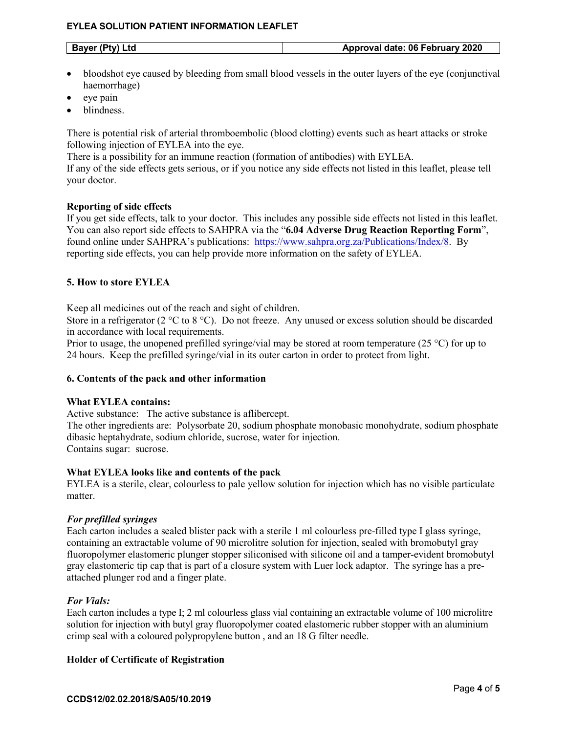## **EYLEA SOLUTION PATIENT INFORMATION LEAFLET**

| Approval date: 06 February 2020<br>Bayer (Pty) Ltd |
|----------------------------------------------------|
|----------------------------------------------------|

- bloodshot eye caused by bleeding from small blood vessels in the outer layers of the eye (conjunctival haemorrhage)
- eye pain
- blindness.

There is potential risk of arterial thromboembolic (blood clotting) events such as heart attacks or stroke following injection of EYLEA into the eye.

There is a possibility for an immune reaction (formation of antibodies) with EYLEA.

If any of the side effects gets serious, or if you notice any side effects not listed in this leaflet, please tell your doctor.

# **Reporting of side effects**

If you get side effects, talk to your doctor. This includes any possible side effects not listed in this leaflet. You can also report side effects to SAHPRA via the "**6.04 Adverse Drug Reaction Reporting Form**", found online under SAHPRA's publications: [https://www.sahpra.org.za/Publications/Index/8.](https://www.sahpra.org.za/Publications/Index/8) By reporting side effects, you can help provide more information on the safety of EYLEA.

# **5. How to store EYLEA**

Keep all medicines out of the reach and sight of children.

Store in a refrigerator (2 °C to 8 °C). Do not freeze. Any unused or excess solution should be discarded in accordance with local requirements.

Prior to usage, the unopened prefilled syringe/vial may be stored at room temperature (25 °C) for up to 24 hours. Keep the prefilled syringe/vial in its outer carton in order to protect from light.

### **6. Contents of the pack and other information**

### **What EYLEA contains:**

Active substance: The active substance is aflibercept.

The other ingredients are: Polysorbate 20, sodium phosphate monobasic monohydrate, sodium phosphate dibasic heptahydrate, sodium chloride, sucrose, water for injection. Contains sugar: sucrose.

# **What EYLEA looks like and contents of the pack**

EYLEA is a sterile, clear, colourless to pale yellow solution for injection which has no visible particulate matter.

# *For prefilled syringes*

Each carton includes a sealed blister pack with a sterile 1 ml colourless pre-filled type I glass syringe, containing an extractable volume of 90 microlitre solution for injection, sealed with bromobutyl gray fluoropolymer elastomeric plunger stopper siliconised with silicone oil and a tamper-evident bromobutyl gray elastomeric tip cap that is part of a closure system with Luer lock adaptor. The syringe has a preattached plunger rod and a finger plate.

# *For Vials:*

Each carton includes a type I; 2 ml colourless glass vial containing an extractable volume of 100 microlitre solution for injection with butyl gray fluoropolymer coated elastomeric rubber stopper with an aluminium crimp seal with a coloured polypropylene button , and an 18 G filter needle.

# **Holder of Certificate of Registration**